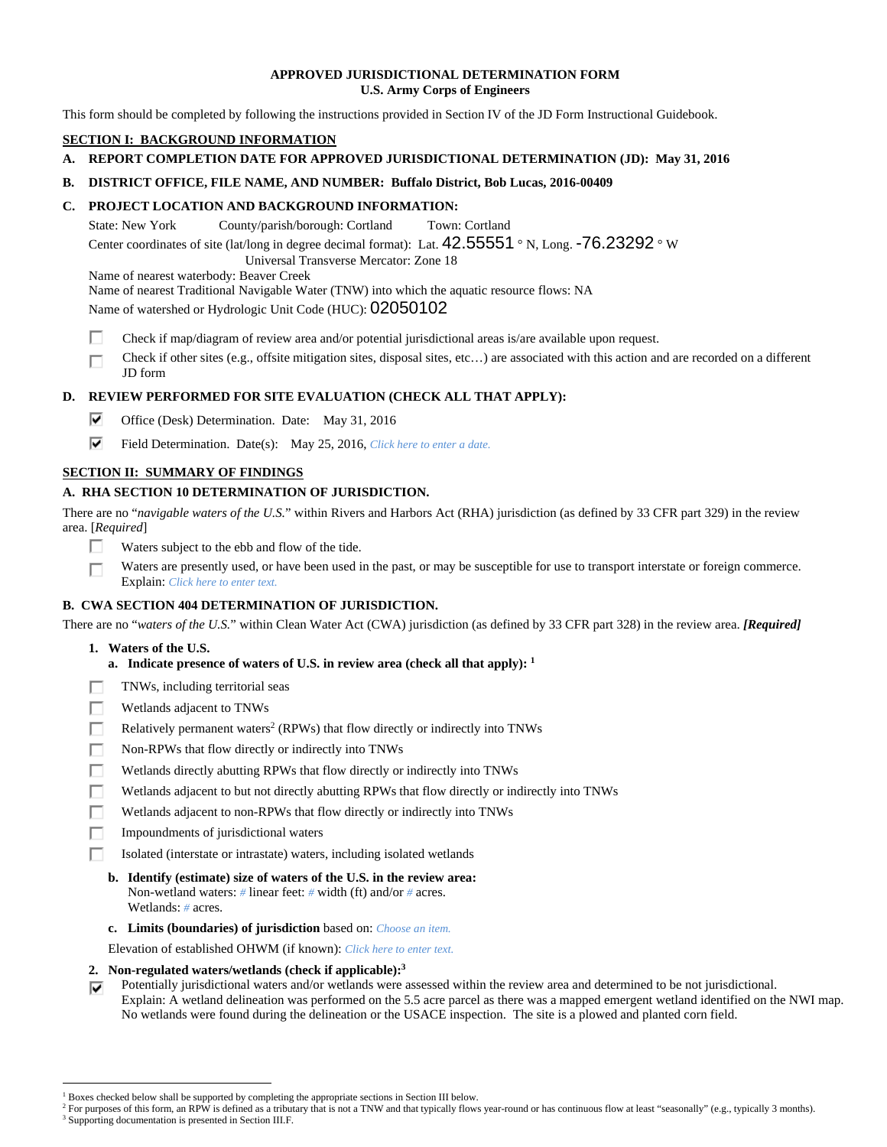## **APPROVED JURISDICTIONAL DETERMINATION FORM U.S. Army Corps of Engineers**

This form should be completed by following the instructions provided in Section IV of the JD Form Instructional Guidebook.

# **SECTION I: BACKGROUND INFORMATION**

# **A. REPORT COMPLETION DATE FOR APPROVED JURISDICTIONAL DETERMINATION (JD): May 31, 2016**

# **B. DISTRICT OFFICE, FILE NAME, AND NUMBER: Buffalo District, Bob Lucas, 2016-00409**

# **C. PROJECT LOCATION AND BACKGROUND INFORMATION:**

State: New York County/parish/borough: Cortland Town: Cortland

Center coordinates of site (lat/long in degree decimal format): Lat.  $42.55551 \degree N$ , Long. -76.23292  $\degree W$ 

Universal Transverse Mercator: Zone 18

Name of nearest waterbody: Beaver Creek

Name of nearest Traditional Navigable Water (TNW) into which the aquatic resource flows: NA

Name of watershed or Hydrologic Unit Code (HUC): 02050102

- П Check if map/diagram of review area and/or potential jurisdictional areas is/are available upon request.
- Check if other sites (e.g., offsite mitigation sites, disposal sites, etc…) are associated with this action and are recorded on a different П JD form

# **D. REVIEW PERFORMED FOR SITE EVALUATION (CHECK ALL THAT APPLY):**

- ⊽. Office (Desk) Determination. Date: May 31, 2016
- ⊽. Field Determination. Date(s): May 25, 2016, *Click here to enter a date.*

# **SECTION II: SUMMARY OF FINDINGS**

# **A. RHA SECTION 10 DETERMINATION OF JURISDICTION.**

There are no "*navigable waters of the U.S.*" within Rivers and Harbors Act (RHA) jurisdiction (as defined by 33 CFR part 329) in the review area. [*Required*]

- п Waters subject to the ebb and flow of the tide.
- Waters are presently used, or have been used in the past, or may be susceptible for use to transport interstate or foreign commerce. Г Explain: *Click here to enter text.*

# **B. CWA SECTION 404 DETERMINATION OF JURISDICTION.**

There are no "*waters of the U.S.*" within Clean Water Act (CWA) jurisdiction (as defined by 33 CFR part 328) in the review area. *[Required]*

- **1. Waters of the U.S.** 
	- **a. Indicate presence of waters of U.S. in review area (check all that apply): 1**
- п TNWs, including territorial seas
- п Wetlands adjacent to TNWs
- Relatively permanent waters<sup>2</sup> (RPWs) that flow directly or indirectly into TNWs п
- г Non-RPWs that flow directly or indirectly into TNWs
- Wetlands directly abutting RPWs that flow directly or indirectly into TNWs п
- п Wetlands adjacent to but not directly abutting RPWs that flow directly or indirectly into TNWs
- г Wetlands adjacent to non-RPWs that flow directly or indirectly into TNWs
- г Impoundments of jurisdictional waters
- П. Isolated (interstate or intrastate) waters, including isolated wetlands
	- **b. Identify (estimate) size of waters of the U.S. in the review area:**  Non-wetland waters: *#* linear feet: *#* width (ft) and/or *#* acres. Wetlands: *#* acres.
	- **c. Limits (boundaries) of jurisdiction** based on: *Choose an item.*

Elevation of established OHWM (if known): *Click here to enter text.*

- **2. Non-regulated waters/wetlands (check if applicable):3**
- Potentially jurisdictional waters and/or wetlands were assessed within the review area and determined to be not jurisdictional. ⊽ Explain: A wetland delineation was performed on the 5.5 acre parcel as there was a mapped emergent wetland identified on the NWI map. No wetlands were found during the delineation or the USACE inspection. The site is a plowed and planted corn field.

 $\overline{a}$ <sup>1</sup> Boxes checked below shall be supported by completing the appropriate sections in Section III below.<br><sup>2</sup> For purposes of this form, an PPW is defined as a tributary that is not a TNW and that typically flows

For purposes of this form, an RPW is defined as a tributary that is not a TNW and that typically flows year-round or has continuous flow at least "seasonally" (e.g., typically 3 months). <sup>3</sup> Supporting documentation is presented in Section III.F.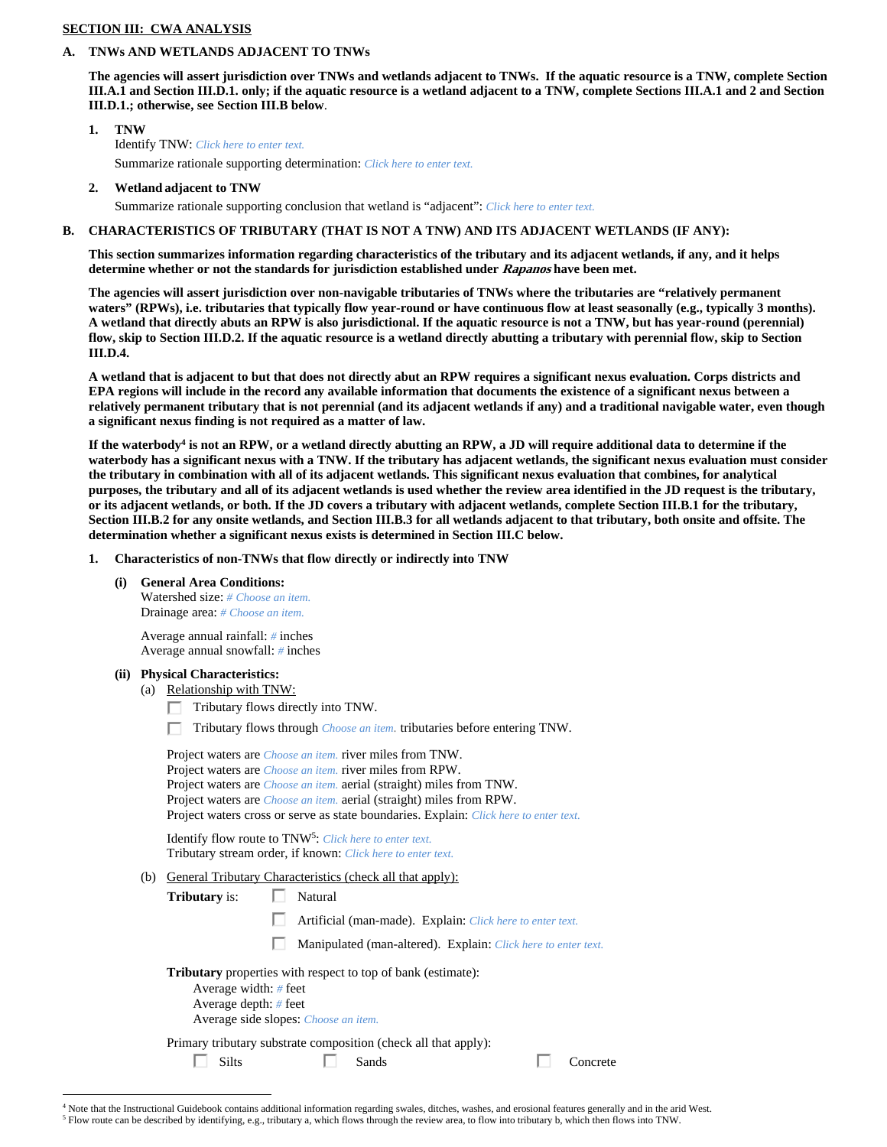## **SECTION III: CWA ANALYSIS**

#### **A. TNWs AND WETLANDS ADJACENT TO TNWs**

**The agencies will assert jurisdiction over TNWs and wetlands adjacent to TNWs. If the aquatic resource is a TNW, complete Section III.A.1 and Section III.D.1. only; if the aquatic resource is a wetland adjacent to a TNW, complete Sections III.A.1 and 2 and Section III.D.1.; otherwise, see Section III.B below**.

- **1. TNW**  Identify TNW: *Click here to enter text.* Summarize rationale supporting determination: *Click here to enter text.*
- **2. Wetland adjacent to TNW**

Summarize rationale supporting conclusion that wetland is "adjacent": *Click here to enter text.*

## **B. CHARACTERISTICS OF TRIBUTARY (THAT IS NOT A TNW) AND ITS ADJACENT WETLANDS (IF ANY):**

**This section summarizes information regarding characteristics of the tributary and its adjacent wetlands, if any, and it helps determine whether or not the standards for jurisdiction established under Rapanos have been met.** 

**The agencies will assert jurisdiction over non-navigable tributaries of TNWs where the tributaries are "relatively permanent**  waters" (RPWs), i.e. tributaries that typically flow year-round or have continuous flow at least seasonally (e.g., typically 3 months). **A wetland that directly abuts an RPW is also jurisdictional. If the aquatic resource is not a TNW, but has year-round (perennial) flow, skip to Section III.D.2. If the aquatic resource is a wetland directly abutting a tributary with perennial flow, skip to Section III.D.4.** 

**A wetland that is adjacent to but that does not directly abut an RPW requires a significant nexus evaluation. Corps districts and EPA regions will include in the record any available information that documents the existence of a significant nexus between a relatively permanent tributary that is not perennial (and its adjacent wetlands if any) and a traditional navigable water, even though a significant nexus finding is not required as a matter of law.** 

If the waterbody<sup>4</sup> is not an RPW, or a wetland directly abutting an RPW, a JD will require additional data to determine if the **waterbody has a significant nexus with a TNW. If the tributary has adjacent wetlands, the significant nexus evaluation must consider the tributary in combination with all of its adjacent wetlands. This significant nexus evaluation that combines, for analytical purposes, the tributary and all of its adjacent wetlands is used whether the review area identified in the JD request is the tributary, or its adjacent wetlands, or both. If the JD covers a tributary with adjacent wetlands, complete Section III.B.1 for the tributary, Section III.B.2 for any onsite wetlands, and Section III.B.3 for all wetlands adjacent to that tributary, both onsite and offsite. The determination whether a significant nexus exists is determined in Section III.C below.** 

- **1. Characteristics of non-TNWs that flow directly or indirectly into TNW** 
	- **(i) General Area Conditions:**

 Watershed size: *# Choose an item.* Drainage area: *# Choose an item.*

 Average annual rainfall: *#* inches Average annual snowfall: *#* inches

- **(ii) Physical Characteristics:** 
	- (a) Relationship with TNW:
		- Tributary flows directly into TNW.
		- П. Tributary flows through *Choose an item.* tributaries before entering TNW.

 Project waters are *Choose an item.* river miles from TNW. Project waters are *Choose an item.* river miles from RPW. Project waters are *Choose an item.* aerial (straight) miles from TNW. Project waters are *Choose an item.* aerial (straight) miles from RPW. Project waters cross or serve as state boundaries. Explain: *Click here to enter text.*

Identify flow route to TNW5: *Click here to enter text.* Tributary stream order, if known: *Click here to enter text.*

- (b) General Tributary Characteristics (check all that apply):
	- **Tributary** is:  $\Box$  Natural
		- п Artificial (man-made). Explain: *Click here to enter text.*
		- п Manipulated (man-altered). Explain: *Click here to enter text.*

**Tributary** properties with respect to top of bank (estimate):

 Average width: *#* feet Average depth: *#* feet

П.

Average side slopes: *Choose an item.*

Primary tributary substrate composition (check all that apply):

Silts Sands Sands Concrete

 $\overline{a}$ <sup>4</sup> Note that the Instructional Guidebook contains additional information regarding swales, ditches, washes, and erosional features generally and in the arid West.  $^5$  Flow route can be described by identifying, e.g., tributary a, which flows through the review area, to flow into tributary b, which then flows into TNW.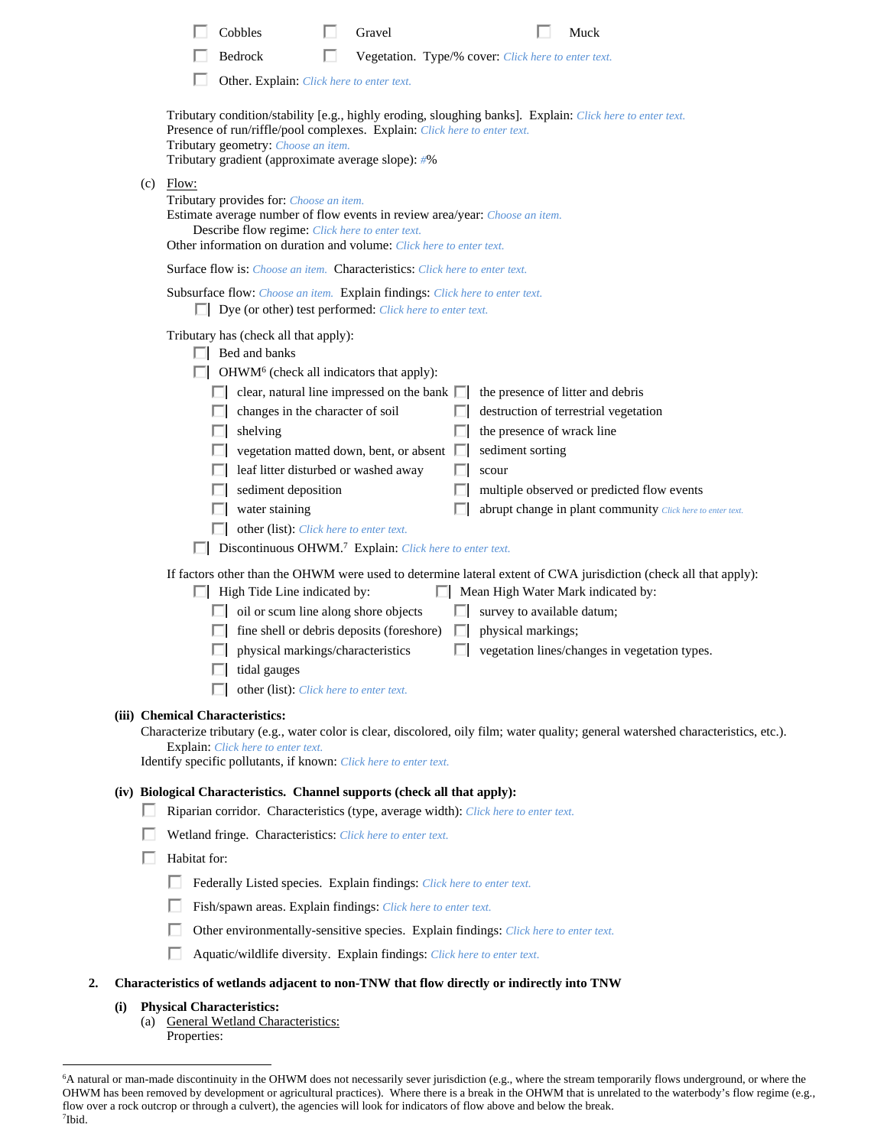|                                 | Cobbles                                                                                                                                                                                                                                                                                                                                                                                                                                                                                                                                                                                                     | Gravel                                                                                             |                                                                                                                                                                                        | Muck                                                                                                                                                                                                                                                                                                                   |  |
|---------------------------------|-------------------------------------------------------------------------------------------------------------------------------------------------------------------------------------------------------------------------------------------------------------------------------------------------------------------------------------------------------------------------------------------------------------------------------------------------------------------------------------------------------------------------------------------------------------------------------------------------------------|----------------------------------------------------------------------------------------------------|----------------------------------------------------------------------------------------------------------------------------------------------------------------------------------------|------------------------------------------------------------------------------------------------------------------------------------------------------------------------------------------------------------------------------------------------------------------------------------------------------------------------|--|
|                                 | Bedrock                                                                                                                                                                                                                                                                                                                                                                                                                                                                                                                                                                                                     | Vegetation. Type/% cover: Click here to enter text.                                                |                                                                                                                                                                                        |                                                                                                                                                                                                                                                                                                                        |  |
|                                 | Other. Explain: Click here to enter text.                                                                                                                                                                                                                                                                                                                                                                                                                                                                                                                                                                   |                                                                                                    |                                                                                                                                                                                        |                                                                                                                                                                                                                                                                                                                        |  |
|                                 | Tributary condition/stability [e.g., highly eroding, sloughing banks]. Explain: Click here to enter text.<br>Presence of run/riffle/pool complexes. Explain: Click here to enter text.<br>Tributary geometry: Choose an item.<br>Tributary gradient (approximate average slope): #%                                                                                                                                                                                                                                                                                                                         |                                                                                                    |                                                                                                                                                                                        |                                                                                                                                                                                                                                                                                                                        |  |
| Flow:<br>(c)                    | Tributary provides for: Choose an item.<br>Estimate average number of flow events in review area/year: Choose an item.<br><b>Describe flow regime:</b> Click here to enter text.<br>Other information on duration and volume: Click here to enter text.                                                                                                                                                                                                                                                                                                                                                     |                                                                                                    |                                                                                                                                                                                        |                                                                                                                                                                                                                                                                                                                        |  |
|                                 | Surface flow is: Choose an item. Characteristics: Click here to enter text.                                                                                                                                                                                                                                                                                                                                                                                                                                                                                                                                 |                                                                                                    |                                                                                                                                                                                        |                                                                                                                                                                                                                                                                                                                        |  |
|                                 | Subsurface flow: Choose an item. Explain findings: Click here to enter text.<br>$\Box$ Dye (or other) test performed: <i>Click here to enter text.</i>                                                                                                                                                                                                                                                                                                                                                                                                                                                      |                                                                                                    |                                                                                                                                                                                        |                                                                                                                                                                                                                                                                                                                        |  |
|                                 | Tributary has (check all that apply):<br>$\Box$ Bed and banks<br>OHWM <sup>6</sup> (check all indicators that apply):<br>changes in the character of soil<br>shelving<br>leaf litter disturbed or washed away<br>sediment deposition<br>water staining<br>other (list): Click here to enter text.<br>Discontinuous OHWM. <sup>7</sup> Explain: Click here to enter text.<br>$\Box$ High Tide Line indicated by:<br>oil or scum line along shore objects<br>fine shell or debris deposits (foreshore)<br>$\Box$ physical markings/characteristics<br>tidal gauges<br>other (list): Click here to enter text. | clear, natural line impressed on the bank $\Box$<br>vegetation matted down, bent, or absent $\Box$ | the presence of litter and debris<br>the presence of wrack line<br>sediment sorting<br>scour<br>Mean High Water Mark indicated by:<br>survey to available datum;<br>physical markings; | destruction of terrestrial vegetation<br>multiple observed or predicted flow events<br>abrupt change in plant community Click here to enter text.<br>If factors other than the OHWM were used to determine lateral extent of CWA jurisdiction (check all that apply):<br>vegetation lines/changes in vegetation types. |  |
| (iii) Chemical Characteristics: | Explain: Click here to enter text.<br>Identify specific pollutants, if known: Click here to enter text.                                                                                                                                                                                                                                                                                                                                                                                                                                                                                                     |                                                                                                    |                                                                                                                                                                                        | Characterize tributary (e.g., water color is clear, discolored, oily film; water quality; general watershed characteristics, etc.).                                                                                                                                                                                    |  |
| H                               | (iv) Biological Characteristics. Channel supports (check all that apply):<br>Riparian corridor. Characteristics (type, average width): Click here to enter text.                                                                                                                                                                                                                                                                                                                                                                                                                                            |                                                                                                    |                                                                                                                                                                                        |                                                                                                                                                                                                                                                                                                                        |  |
|                                 | Wetland fringe. Characteristics: Click here to enter text.                                                                                                                                                                                                                                                                                                                                                                                                                                                                                                                                                  |                                                                                                    |                                                                                                                                                                                        |                                                                                                                                                                                                                                                                                                                        |  |
| Habitat for:                    |                                                                                                                                                                                                                                                                                                                                                                                                                                                                                                                                                                                                             |                                                                                                    |                                                                                                                                                                                        |                                                                                                                                                                                                                                                                                                                        |  |
| U                               | Federally Listed species. Explain findings: Click here to enter text.                                                                                                                                                                                                                                                                                                                                                                                                                                                                                                                                       |                                                                                                    |                                                                                                                                                                                        |                                                                                                                                                                                                                                                                                                                        |  |
|                                 | Fish/spawn areas. Explain findings: Click here to enter text.                                                                                                                                                                                                                                                                                                                                                                                                                                                                                                                                               |                                                                                                    |                                                                                                                                                                                        |                                                                                                                                                                                                                                                                                                                        |  |
|                                 | Other environmentally-sensitive species. Explain findings: Click here to enter text.                                                                                                                                                                                                                                                                                                                                                                                                                                                                                                                        |                                                                                                    |                                                                                                                                                                                        |                                                                                                                                                                                                                                                                                                                        |  |
|                                 | Aquatic/wildlife diversity. Explain findings: Click here to enter text.                                                                                                                                                                                                                                                                                                                                                                                                                                                                                                                                     |                                                                                                    |                                                                                                                                                                                        |                                                                                                                                                                                                                                                                                                                        |  |
| $\overline{2}$ .                | Characteristics of wetlands adjacent to non-TNW that flow directly or indirectly into TNW                                                                                                                                                                                                                                                                                                                                                                                                                                                                                                                   |                                                                                                    |                                                                                                                                                                                        |                                                                                                                                                                                                                                                                                                                        |  |
| (i)<br>Properties:              | <b>Physical Characteristics:</b><br>(a) General Wetland Characteristics:                                                                                                                                                                                                                                                                                                                                                                                                                                                                                                                                    |                                                                                                    |                                                                                                                                                                                        |                                                                                                                                                                                                                                                                                                                        |  |

<sup>&</sup>lt;sup>6</sup> A natural or man-made discontinuity in the OHWM does not necessarily sever jurisdiction (e.g., where the stream temporarily flows underground, or where the OHWM has been removed by development or agricultural practices). Where there is a break in the OHWM that is unrelated to the waterbody's flow regime (e.g., flow over a rock outcrop or through a culvert), the agencies will look for indicators of flow above and below the break. 7 Ibid.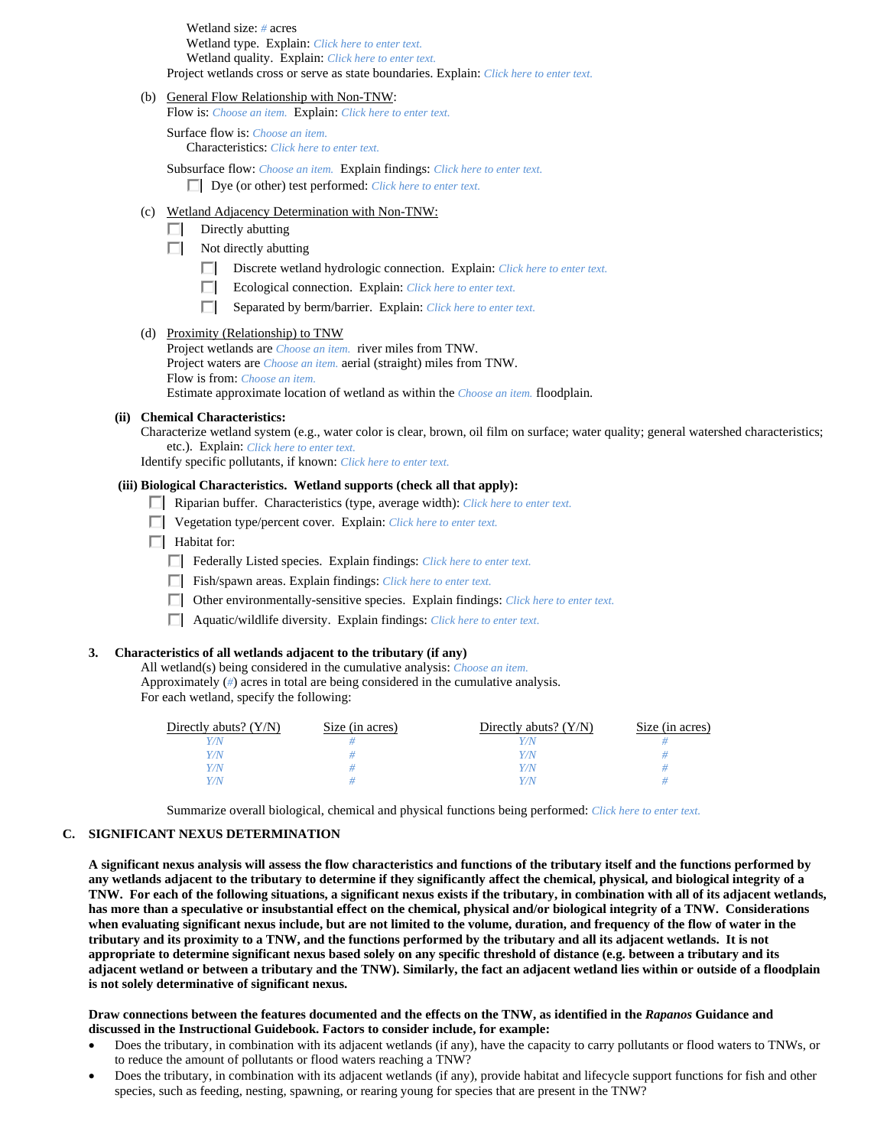Wetland size: *#* acres Wetland type. Explain: *Click here to enter text.* Wetland quality. Explain: *Click here to enter text.* Project wetlands cross or serve as state boundaries. Explain: *Click here to enter text.*

#### (b) General Flow Relationship with Non-TNW:

Flow is: *Choose an item.* Explain: *Click here to enter text.*

 Surface flow is: *Choose an item.* Characteristics: *Click here to enter text.*

 Subsurface flow: *Choose an item.* Explain findings: *Click here to enter text.* Dye (or other) test performed: *Click here to enter text.*

#### (c) Wetland Adjacency Determination with Non-TNW:

- $\Box$  Directly abutting
- $\Box$  Not directly abutting
	- Discrete wetland hydrologic connection. Explain: *Click here to enter text.*
	- Ecological connection. Explain: *Click here to enter text.*
	- Separated by berm/barrier. Explain: *Click here to enter text.*

## (d) Proximity (Relationship) to TNW

Project wetlands are *Choose an item.* river miles from TNW. Project waters are *Choose an item.* aerial (straight) miles from TNW. Flow is from: *Choose an item.* Estimate approximate location of wetland as within the *Choose an item.* floodplain.

### **(ii) Chemical Characteristics:**

Characterize wetland system (e.g., water color is clear, brown, oil film on surface; water quality; general watershed characteristics; etc.). Explain: *Click here to enter text.*

Identify specific pollutants, if known: *Click here to enter text.*

## **(iii) Biological Characteristics. Wetland supports (check all that apply):**

- Riparian buffer. Characteristics (type, average width): *Click here to enter text.*
- Vegetation type/percent cover. Explain: *Click here to enter text.*
- $\Box$  Habitat for:
	- Federally Listed species. Explain findings: *Click here to enter text*.
	- Fish/spawn areas. Explain findings: *Click here to enter text.*
	- Other environmentally-sensitive species. Explain findings: *Click here to enter text.*
	- Aquatic/wildlife diversity. Explain findings: *Click here to enter text.*

#### **3. Characteristics of all wetlands adjacent to the tributary (if any)**

 All wetland(s) being considered in the cumulative analysis: *Choose an item.* Approximately (*#*) acres in total are being considered in the cumulative analysis. For each wetland, specify the following:

| Directly abuts? $(Y/N)$ | Size (in acres) | Directly abuts? $(Y/N)$ | Size (in acres) |
|-------------------------|-----------------|-------------------------|-----------------|
| 77V                     |                 |                         |                 |
| $^{\prime\prime}$ N     |                 | Y / N                   |                 |
| $^{\prime\prime}$ N     |                 | Y / N                   |                 |
| $^{\prime\prime}$ N     |                 |                         |                 |

Summarize overall biological, chemical and physical functions being performed: *Click here to enter text.*

### **C. SIGNIFICANT NEXUS DETERMINATION**

**A significant nexus analysis will assess the flow characteristics and functions of the tributary itself and the functions performed by any wetlands adjacent to the tributary to determine if they significantly affect the chemical, physical, and biological integrity of a TNW. For each of the following situations, a significant nexus exists if the tributary, in combination with all of its adjacent wetlands, has more than a speculative or insubstantial effect on the chemical, physical and/or biological integrity of a TNW. Considerations when evaluating significant nexus include, but are not limited to the volume, duration, and frequency of the flow of water in the tributary and its proximity to a TNW, and the functions performed by the tributary and all its adjacent wetlands. It is not appropriate to determine significant nexus based solely on any specific threshold of distance (e.g. between a tributary and its adjacent wetland or between a tributary and the TNW). Similarly, the fact an adjacent wetland lies within or outside of a floodplain is not solely determinative of significant nexus.** 

#### **Draw connections between the features documented and the effects on the TNW, as identified in the** *Rapanos* **Guidance and discussed in the Instructional Guidebook. Factors to consider include, for example:**

- Does the tributary, in combination with its adjacent wetlands (if any), have the capacity to carry pollutants or flood waters to TNWs, or to reduce the amount of pollutants or flood waters reaching a TNW?
- Does the tributary, in combination with its adjacent wetlands (if any), provide habitat and lifecycle support functions for fish and other species, such as feeding, nesting, spawning, or rearing young for species that are present in the TNW?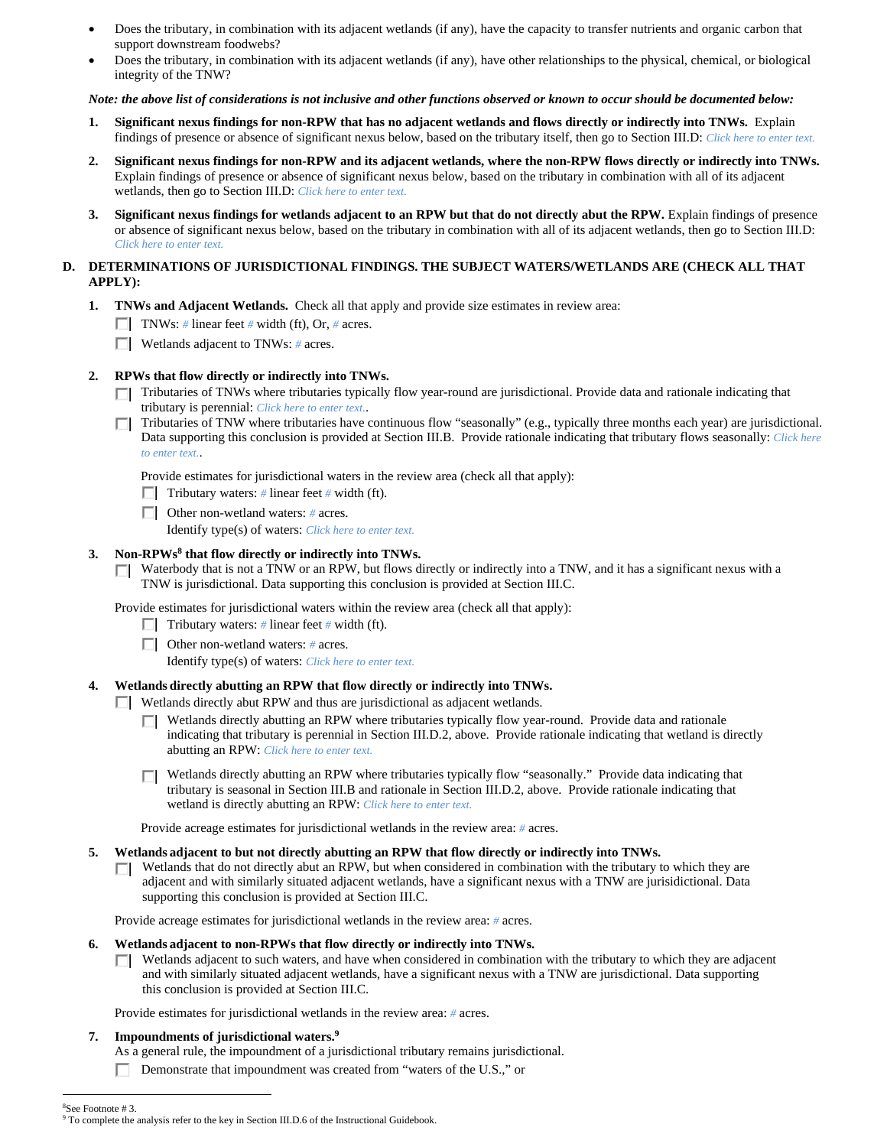- Does the tributary, in combination with its adjacent wetlands (if any), have the capacity to transfer nutrients and organic carbon that support downstream foodwebs?
- Does the tributary, in combination with its adjacent wetlands (if any), have other relationships to the physical, chemical, or biological integrity of the TNW?

#### *Note: the above list of considerations is not inclusive and other functions observed or known to occur should be documented below:*

- **1. Significant nexus findings for non-RPW that has no adjacent wetlands and flows directly or indirectly into TNWs.** Explain findings of presence or absence of significant nexus below, based on the tributary itself, then go to Section III.D: *Click here to enter text.*
- **2. Significant nexus findings for non-RPW and its adjacent wetlands, where the non-RPW flows directly or indirectly into TNWs.**  Explain findings of presence or absence of significant nexus below, based on the tributary in combination with all of its adjacent wetlands, then go to Section III.D: *Click here to enter text.*
- **3. Significant nexus findings for wetlands adjacent to an RPW but that do not directly abut the RPW.** Explain findings of presence or absence of significant nexus below, based on the tributary in combination with all of its adjacent wetlands, then go to Section III.D: *Click here to enter text.*

### **D. DETERMINATIONS OF JURISDICTIONAL FINDINGS. THE SUBJECT WATERS/WETLANDS ARE (CHECK ALL THAT APPLY):**

- **1. TNWs and Adjacent Wetlands.** Check all that apply and provide size estimates in review area:
	- TNWs: # linear feet # width (ft), Or, # acres.
	- Wetlands adjacent to TNWs: *#* acres.

### **2. RPWs that flow directly or indirectly into TNWs.**

- $\Box$  Tributaries of TNWs where tributaries typically flow year-round are jurisdictional. Provide data and rationale indicating that tributary is perennial: *Click here to enter text.*.
- Tributaries of TNW where tributaries have continuous flow "seasonally" (e.g., typically three months each year) are jurisdictional. П. Data supporting this conclusion is provided at Section III.B. Provide rationale indicating that tributary flows seasonally: *Click here to enter text.*.

Provide estimates for jurisdictional waters in the review area (check all that apply):

- **Tributary waters:** # linear feet # width (ft).
- Other non-wetland waters: *#* acres.

Identify type(s) of waters: *Click here to enter text.*

## **3. Non-RPWs8 that flow directly or indirectly into TNWs.**

 $\Box$  Waterbody that is not a TNW or an RPW, but flows directly or indirectly into a TNW, and it has a significant nexus with a TNW is jurisdictional. Data supporting this conclusion is provided at Section III.C.

Provide estimates for jurisdictional waters within the review area (check all that apply):

- Tributary waters:  $\#$  linear feet  $\#$  width (ft).
- Other non-wetland waters: *#* acres.

Identify type(s) of waters: *Click here to enter text.*

## **4. Wetlands directly abutting an RPW that flow directly or indirectly into TNWs.**

- **Netlands** directly abut RPW and thus are jurisdictional as adjacent wetlands.
	- Wetlands directly abutting an RPW where tributaries typically flow year-round. Provide data and rationale П. indicating that tributary is perennial in Section III.D.2, above. Provide rationale indicating that wetland is directly abutting an RPW: *Click here to enter text.*
	- □ Wetlands directly abutting an RPW where tributaries typically flow "seasonally." Provide data indicating that tributary is seasonal in Section III.B and rationale in Section III.D.2, above. Provide rationale indicating that wetland is directly abutting an RPW: *Click here to enter text.*

Provide acreage estimates for jurisdictional wetlands in the review area: *#* acres.

- **5. Wetlands adjacent to but not directly abutting an RPW that flow directly or indirectly into TNWs.** 
	- Wetlands that do not directly abut an RPW, but when considered in combination with the tributary to which they are П. adjacent and with similarly situated adjacent wetlands, have a significant nexus with a TNW are jurisidictional. Data supporting this conclusion is provided at Section III.C.

Provide acreage estimates for jurisdictional wetlands in the review area: *#* acres.

#### **6. Wetlands adjacent to non-RPWs that flow directly or indirectly into TNWs.**

Wetlands adjacent to such waters, and have when considered in combination with the tributary to which they are adjacent and with similarly situated adjacent wetlands, have a significant nexus with a TNW are jurisdictional. Data supporting this conclusion is provided at Section III.C.

Provide estimates for jurisdictional wetlands in the review area: *#* acres.

## **7. Impoundments of jurisdictional waters.9**

As a general rule, the impoundment of a jurisdictional tributary remains jurisdictional.

#### $\overline{a}$ 8 See Footnote # 3. <sup>9</sup> To complete the analysis refer to the key in Section III.D.6 of the Instructional Guidebook.

П. Demonstrate that impoundment was created from "waters of the U.S.," or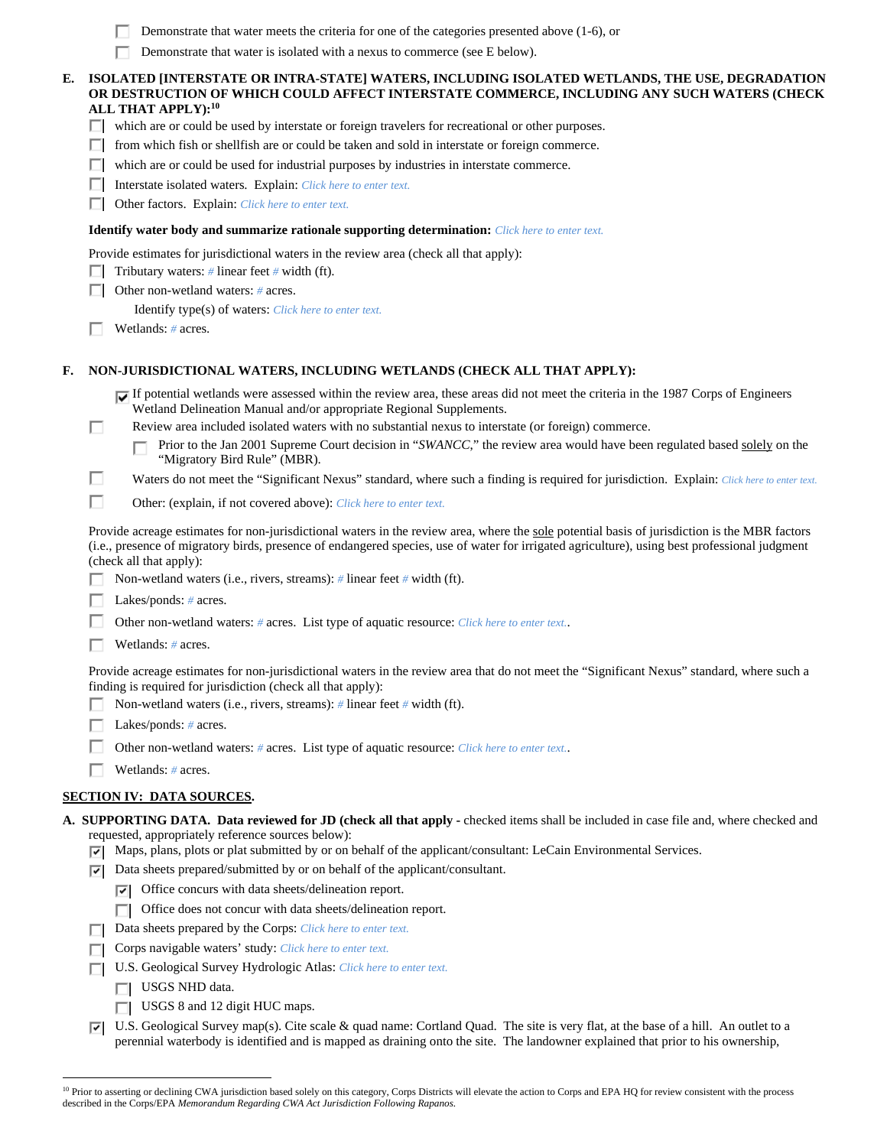| Demonstrate that water meets the criteria for one of the categories presented above (1-6), or |
|-----------------------------------------------------------------------------------------------|
|-----------------------------------------------------------------------------------------------|

п Demonstrate that water is isolated with a nexus to commerce (see E below).

#### **E. ISOLATED [INTERSTATE OR INTRA-STATE] WATERS, INCLUDING ISOLATED WETLANDS, THE USE, DEGRADATION OR DESTRUCTION OF WHICH COULD AFFECT INTERSTATE COMMERCE, INCLUDING ANY SUCH WATERS (CHECK ALL THAT APPLY):10**

- $\Box$  which are or could be used by interstate or foreign travelers for recreational or other purposes.
- $\Box$  from which fish or shellfish are or could be taken and sold in interstate or foreign commerce.
- which are or could be used for industrial purposes by industries in interstate commerce.
- Interstate isolated waters.Explain: *Click here to enter text.*
- Other factors.Explain: *Click here to enter text.*

#### **Identify water body and summarize rationale supporting determination:** *Click here to enter text.*

Provide estimates for jurisdictional waters in the review area (check all that apply):

- **Tributary waters:** # linear feet # width (ft).
- Other non-wetland waters: *#* acres.

Identify type(s) of waters: *Click here to enter text.*

Wetlands: *#* acres.

#### **F. NON-JURISDICTIONAL WATERS, INCLUDING WETLANDS (CHECK ALL THAT APPLY):**

- If potential wetlands were assessed within the review area, these areas did not meet the criteria in the 1987 Corps of Engineers Wetland Delineation Manual and/or appropriate Regional Supplements.
- П Review area included isolated waters with no substantial nexus to interstate (or foreign) commerce.

Prior to the Jan 2001 Supreme Court decision in "*SWANCC*," the review area would have been regulated based solely on the п "Migratory Bird Rule" (MBR).

п Waters do not meet the "Significant Nexus" standard, where such a finding is required for jurisdiction. Explain: *Click here to enter text.* 

П Other: (explain, if not covered above): *Click here to enter text.*

 Provide acreage estimates for non-jurisdictional waters in the review area, where the sole potential basis of jurisdiction is the MBR factors (i.e., presence of migratory birds, presence of endangered species, use of water for irrigated agriculture), using best professional judgment (check all that apply):

П. Non-wetland waters (i.e., rivers, streams): *#* linear feet *#* width (ft).

Lakes/ponds: *#* acres.

- Other non-wetland waters: *#* acres. List type of aquatic resource: *Click here to enter text.*.
- Wetlands: *#* acres.

Provide acreage estimates for non-jurisdictional waters in the review area that do not meet the "Significant Nexus" standard, where such a finding is required for jurisdiction (check all that apply):

- Non-wetland waters (i.e., rivers, streams): *#* linear feet *#* width (ft).
- Lakes/ponds: *#* acres.
- п Other non-wetland waters: *#* acres. List type of aquatic resource: *Click here to enter text.*.
- п Wetlands: *#* acres.

#### **SECTION IV: DATA SOURCES.**

- **A. SUPPORTING DATA. Data reviewed for JD (check all that apply** checked items shall be included in case file and, where checked and requested, appropriately reference sources below):
	- $\nabla$  Maps, plans, plots or plat submitted by or on behalf of the applicant/consultant: LeCain Environmental Services.
		- $\nabla$  Data sheets prepared/submitted by or on behalf of the applicant/consultant.
			- $\triangledown$  Office concurs with data sheets/delineation report.
			- □ Office does not concur with data sheets/delineation report.
		- Data sheets prepared by the Corps: *Click here to enter text.*
		- Corps navigable waters' study: *Click here to enter text.*
		- U.S. Geological Survey Hydrologic Atlas: *Click here to enter text.*
			- USGS NHD data.

 $\overline{a}$ 

- $\Box$  USGS 8 and 12 digit HUC maps.
- $\nabla$  U.S. Geological Survey map(s). Cite scale & quad name: Cortland Quad. The site is very flat, at the base of a hill. An outlet to a perennial waterbody is identified and is mapped as draining onto the site. The landowner explained that prior to his ownership,

<sup>&</sup>lt;sup>10</sup> Prior to asserting or declining CWA jurisdiction based solely on this category, Corps Districts will elevate the action to Corps and EPA HQ for review consistent with the process described in the Corps/EPA *Memorandum Regarding CWA Act Jurisdiction Following Rapanos.*